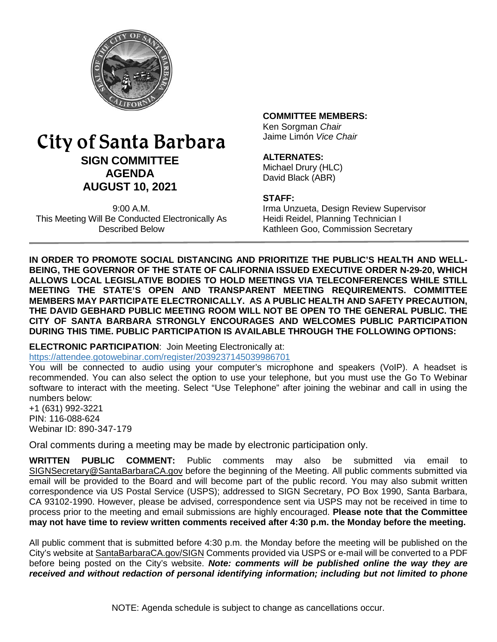

# City of Santa Barbara **SIGN COMMITTEE AGENDA AUGUST 10, 2021**

9:00 A.M. This Meeting Will Be Conducted Electronically As Described Below

#### **COMMITTEE MEMBERS:**

Ken Sorgman *Chair* Jaime Limón *Vice Chair*

#### **ALTERNATES:**

Michael Drury (HLC) David Black (ABR)

#### **STAFF:**

Irma Unzueta, Design Review Supervisor Heidi Reidel, Planning Technician I Kathleen Goo, Commission Secretary

**IN ORDER TO PROMOTE SOCIAL DISTANCING AND PRIORITIZE THE PUBLIC'S HEALTH AND WELL-BEING, THE GOVERNOR OF THE STATE OF CALIFORNIA ISSUED EXECUTIVE ORDER N-29-20, WHICH ALLOWS LOCAL LEGISLATIVE BODIES TO HOLD MEETINGS VIA TELECONFERENCES WHILE STILL MEETING THE STATE'S OPEN AND TRANSPARENT MEETING REQUIREMENTS. COMMITTEE MEMBERS MAY PARTICIPATE ELECTRONICALLY. AS A PUBLIC HEALTH AND SAFETY PRECAUTION, THE DAVID GEBHARD PUBLIC MEETING ROOM WILL NOT BE OPEN TO THE GENERAL PUBLIC. THE CITY OF SANTA BARBARA STRONGLY ENCOURAGES AND WELCOMES PUBLIC PARTICIPATION DURING THIS TIME. PUBLIC PARTICIPATION IS AVAILABLE THROUGH THE FOLLOWING OPTIONS:**

**ELECTRONIC PARTICIPATION**: Join Meeting Electronically at: <https://attendee.gotowebinar.com/register/2039237145039986701>

You will be connected to audio using your computer's microphone and speakers (VoIP). A headset is recommended. You can also select the option to use your telephone, but you must use the Go To Webinar software to interact with the meeting. Select "Use Telephone" after joining the webinar and call in using the numbers below:

+1 (631) 992-3221 PIN: 116-088-624 Webinar ID: 890-347-179

Oral comments during a meeting may be made by electronic participation only.

**WRITTEN PUBLIC COMMENT:** Public comments may also be submitted via email to [SIGNSecretary@SantaBarbaraCA.gov](mailto:SIGNSecretary@SantaBarbaraCA.gov) before the beginning of the Meeting. All public comments submitted via email will be provided to the Board and will become part of the public record. You may also submit written correspondence via US Postal Service (USPS); addressed to SIGN Secretary, PO Box 1990, Santa Barbara, CA 93102-1990. However, please be advised, correspondence sent via USPS may not be received in time to process prior to the meeting and email submissions are highly encouraged. **Please note that the Committee may not have time to review written comments received after 4:30 p.m. the Monday before the meeting.**

All public comment that is submitted before 4:30 p.m. the Monday before the meeting will be published on the City's website at [SantaBarbaraCA.gov/SIGN](http://www.santabarbaraca.gov/SIGN) Comments provided via USPS or e-mail will be converted to a PDF before being posted on the City's website. *Note: comments will be published online the way they are received and without redaction of personal identifying information; including but not limited to phone*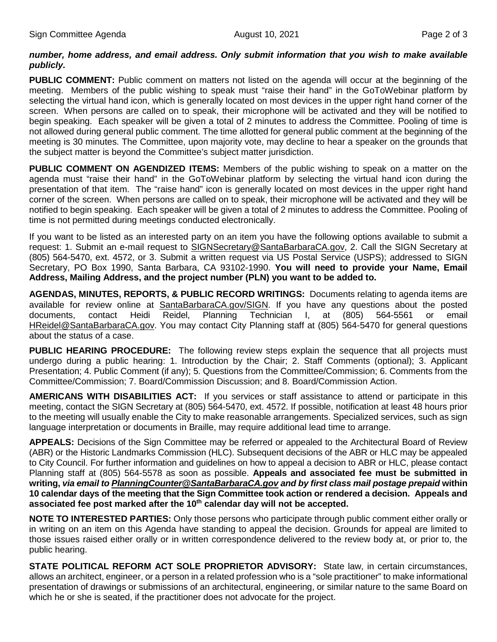#### *number, home address, and email address. Only submit information that you wish to make available publicly.*

**PUBLIC COMMENT:** Public comment on matters not listed on the agenda will occur at the beginning of the meeting. Members of the public wishing to speak must "raise their hand" in the GoToWebinar platform by selecting the virtual hand icon, which is generally located on most devices in the upper right hand corner of the screen. When persons are called on to speak, their microphone will be activated and they will be notified to begin speaking. Each speaker will be given a total of 2 minutes to address the Committee. Pooling of time is not allowed during general public comment. The time allotted for general public comment at the beginning of the meeting is 30 minutes. The Committee, upon majority vote, may decline to hear a speaker on the grounds that the subject matter is beyond the Committee's subject matter jurisdiction.

**PUBLIC COMMENT ON AGENDIZED ITEMS:** Members of the public wishing to speak on a matter on the agenda must "raise their hand" in the GoToWebinar platform by selecting the virtual hand icon during the presentation of that item. The "raise hand" icon is generally located on most devices in the upper right hand corner of the screen. When persons are called on to speak, their microphone will be activated and they will be notified to begin speaking. Each speaker will be given a total of 2 minutes to address the Committee. Pooling of time is not permitted during meetings conducted electronically.

If you want to be listed as an interested party on an item you have the following options available to submit a request: 1. Submit an e-mail request to [SIGNSecretary@SantaBarbaraCA.gov,](mailto:SIGNSecretary@SantaBarbaraCA.gov) 2. Call the SIGN Secretary at (805) 564-5470, ext. 4572, or 3. Submit a written request via US Postal Service (USPS); addressed to SIGN Secretary, PO Box 1990, Santa Barbara, CA 93102-1990. **You will need to provide your Name, Email Address, Mailing Address, and the project number (PLN) you want to be added to.**

**AGENDAS, MINUTES, REPORTS, & PUBLIC RECORD WRITINGS:** Documents relating to agenda items are available for review online at [SantaBarbaraCA.gov/SIGN.](http://www.santabarbaraca.gov/SIGN) If you have any questions about the posted documents, contact Heidi Reidel, Planning Technician I, at (805) 564-5561 or email [HReidel@SantaBarbaraCA.gov.](mailto:HReidel@SantaBarbaraCA.gov) You may contact City Planning staff at (805) 564-5470 for general questions about the status of a case.

**PUBLIC HEARING PROCEDURE:** The following review steps explain the sequence that all projects must undergo during a public hearing: 1. Introduction by the Chair; 2. Staff Comments (optional); 3. Applicant Presentation; 4. Public Comment (if any); 5. Questions from the Committee/Commission; 6. Comments from the Committee/Commission; 7. Board/Commission Discussion; and 8. Board/Commission Action.

**AMERICANS WITH DISABILITIES ACT:** If you services or staff assistance to attend or participate in this meeting, contact the SIGN Secretary at (805) 564-5470, ext. 4572. If possible, notification at least 48 hours prior to the meeting will usually enable the City to make reasonable arrangements. Specialized services, such as sign language interpretation or documents in Braille, may require additional lead time to arrange.

**APPEALS:** Decisions of the Sign Committee may be referred or appealed to the Architectural Board of Review (ABR) or the Historic Landmarks Commission (HLC). Subsequent decisions of the ABR or HLC may be appealed to City Council. For further information and guidelines on how to appeal a decision to ABR or HLC, please contact Planning staff at (805) 564-5578 as soon as possible. **Appeals and associated fee must be submitted in writing,** *via email t[o PlanningCounter@SantaBarbaraCA.gov](mailto:PlanningCounter@SantaBarbaraCA.gov) and by first class mail postage prepaid* **within 10 calendar days of the meeting that the Sign Committee took action or rendered a decision. Appeals and**  associated fee post marked after the 10<sup>th</sup> calendar day will not be accepted.

**NOTE TO INTERESTED PARTIES:** Only those persons who participate through public comment either orally or in writing on an item on this Agenda have standing to appeal the decision. Grounds for appeal are limited to those issues raised either orally or in written correspondence delivered to the review body at, or prior to, the public hearing.

**STATE POLITICAL REFORM ACT SOLE PROPRIETOR ADVISORY:** State law, in certain circumstances, allows an architect, engineer, or a person in a related profession who is a "sole practitioner" to make informational presentation of drawings or submissions of an architectural, engineering, or similar nature to the same Board on which he or she is seated, if the practitioner does not advocate for the project.